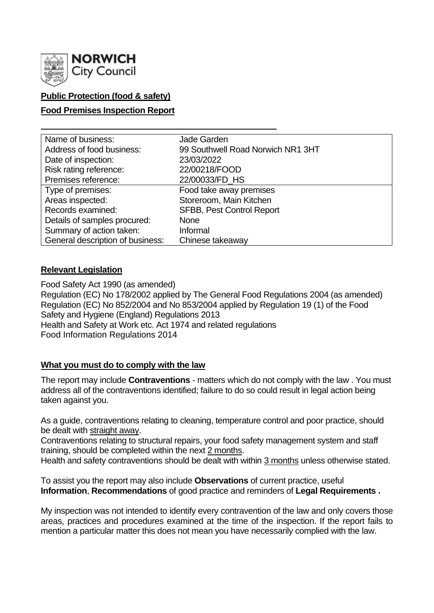

# **Public Protection (food & safety)**

### **Food Premises Inspection Report**

| Name of business:                | Jade Garden                       |
|----------------------------------|-----------------------------------|
| Address of food business:        | 99 Southwell Road Norwich NR1 3HT |
| Date of inspection:              | 23/03/2022                        |
| Risk rating reference:           | 22/00218/FOOD                     |
| Premises reference:              | 22/00033/FD_HS                    |
| Type of premises:                | Food take away premises           |
| Areas inspected:                 | Storeroom, Main Kitchen           |
| Records examined:                | <b>SFBB, Pest Control Report</b>  |
| Details of samples procured:     | <b>None</b>                       |
| Summary of action taken:         | Informal                          |
| General description of business: | Chinese takeaway                  |

### **Relevant Legislation**

Food Safety Act 1990 (as amended) Regulation (EC) No 178/2002 applied by The General Food Regulations 2004 (as amended) Regulation (EC) No 852/2004 and No 853/2004 applied by Regulation 19 (1) of the Food Safety and Hygiene (England) Regulations 2013 Health and Safety at Work etc. Act 1974 and related regulations Food Information Regulations 2014

### **What you must do to comply with the law**

The report may include **Contraventions** - matters which do not comply with the law . You must address all of the contraventions identified; failure to do so could result in legal action being taken against you.

As a guide, contraventions relating to cleaning, temperature control and poor practice, should be dealt with straight away.

Contraventions relating to structural repairs, your food safety management system and staff training, should be completed within the next 2 months.

Health and safety contraventions should be dealt with within 3 months unless otherwise stated.

To assist you the report may also include **Observations** of current practice, useful **Information**, **Recommendations** of good practice and reminders of **Legal Requirements .**

My inspection was not intended to identify every contravention of the law and only covers those areas, practices and procedures examined at the time of the inspection. If the report fails to mention a particular matter this does not mean you have necessarily complied with the law.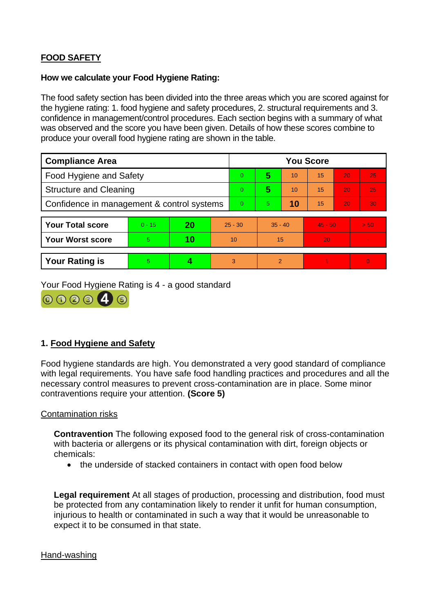# **FOOD SAFETY**

#### **How we calculate your Food Hygiene Rating:**

The food safety section has been divided into the three areas which you are scored against for the hygiene rating: 1. food hygiene and safety procedures, 2. structural requirements and 3. confidence in management/control procedures. Each section begins with a summary of what was observed and the score you have been given. Details of how these scores combine to produce your overall food hygiene rating are shown in the table.

| <b>Compliance Area</b>                     |          |    |           | <b>You Score</b> |               |    |           |    |                 |
|--------------------------------------------|----------|----|-----------|------------------|---------------|----|-----------|----|-----------------|
| Food Hygiene and Safety                    |          |    |           | 0                | 5             | 10 | 15        | 20 | 25              |
| <b>Structure and Cleaning</b>              |          |    |           | 0                | 5             | 10 | 15        | 20 | 25              |
| Confidence in management & control systems |          |    |           | $\Omega$         | 5.            | 10 | 15        | 20 | 30 <sub>1</sub> |
|                                            |          |    |           |                  |               |    |           |    |                 |
| <b>Your Total score</b>                    | $0 - 15$ | 20 | $25 - 30$ |                  | $35 - 40$     |    | $45 - 50$ |    | > 50            |
| <b>Your Worst score</b>                    | 5        | 10 | 10        |                  | 15            |    | 20        |    |                 |
|                                            |          |    |           |                  |               |    |           |    |                 |
| <b>Your Rating is</b>                      | 5        |    | 3         |                  | $\mathcal{P}$ |    |           |    | $\Omega$        |

Your Food Hygiene Rating is 4 - a good standard



# **1. Food Hygiene and Safety**

Food hygiene standards are high. You demonstrated a very good standard of compliance with legal requirements. You have safe food handling practices and procedures and all the necessary control measures to prevent cross-contamination are in place. Some minor contraventions require your attention. **(Score 5)**

#### Contamination risks

**Contravention** The following exposed food to the general risk of cross-contamination with bacteria or allergens or its physical contamination with dirt, foreign objects or chemicals:

• the underside of stacked containers in contact with open food below

**Legal requirement** At all stages of production, processing and distribution, food must be protected from any contamination likely to render it unfit for human consumption, injurious to health or contaminated in such a way that it would be unreasonable to expect it to be consumed in that state.

#### Hand-washing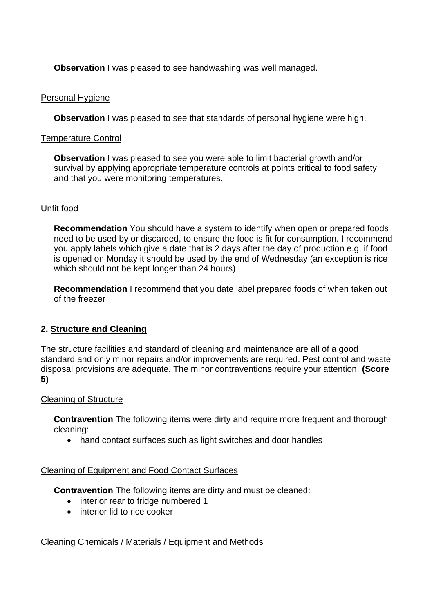**Observation** I was pleased to see handwashing was well managed.

### Personal Hygiene

**Observation** I was pleased to see that standards of personal hygiene were high.

### Temperature Control

**Observation** I was pleased to see you were able to limit bacterial growth and/or survival by applying appropriate temperature controls at points critical to food safety and that you were monitoring temperatures.

# Unfit food

**Recommendation** You should have a system to identify when open or prepared foods need to be used by or discarded, to ensure the food is fit for consumption. I recommend you apply labels which give a date that is 2 days after the day of production e.g. if food is opened on Monday it should be used by the end of Wednesday (an exception is rice which should not be kept longer than 24 hours)

**Recommendation** I recommend that you date label prepared foods of when taken out of the freezer

# **2. Structure and Cleaning**

The structure facilities and standard of cleaning and maintenance are all of a good standard and only minor repairs and/or improvements are required. Pest control and waste disposal provisions are adequate. The minor contraventions require your attention. **(Score 5)**

### Cleaning of Structure

**Contravention** The following items were dirty and require more frequent and thorough cleaning:

• hand contact surfaces such as light switches and door handles

### Cleaning of Equipment and Food Contact Surfaces

**Contravention** The following items are dirty and must be cleaned:

- interior rear to fridge numbered 1
- interior lid to rice cooker

# Cleaning Chemicals / Materials / Equipment and Methods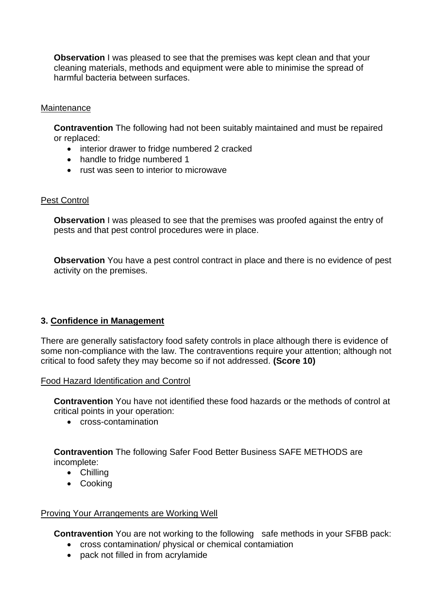**Observation** I was pleased to see that the premises was kept clean and that your cleaning materials, methods and equipment were able to minimise the spread of harmful bacteria between surfaces.

### **Maintenance**

**Contravention** The following had not been suitably maintained and must be repaired or replaced:

- interior drawer to fridge numbered 2 cracked
- handle to fridge numbered 1
- rust was seen to interior to microwave

### Pest Control

**Observation** I was pleased to see that the premises was proofed against the entry of pests and that pest control procedures were in place.

**Observation** You have a pest control contract in place and there is no evidence of pest activity on the premises.

# **3. Confidence in Management**

There are generally satisfactory food safety controls in place although there is evidence of some non-compliance with the law. The contraventions require your attention; although not critical to food safety they may become so if not addressed. **(Score 10)**

### Food Hazard Identification and Control

**Contravention** You have not identified these food hazards or the methods of control at critical points in your operation:

• cross-contamination

**Contravention** The following Safer Food Better Business SAFE METHODS are incomplete:

- Chilling
- Cooking

### Proving Your Arrangements are Working Well

**Contravention** You are not working to the following safe methods in your SFBB pack:

- cross contamination/ physical or chemical contamiation
- pack not filled in from acrylamide